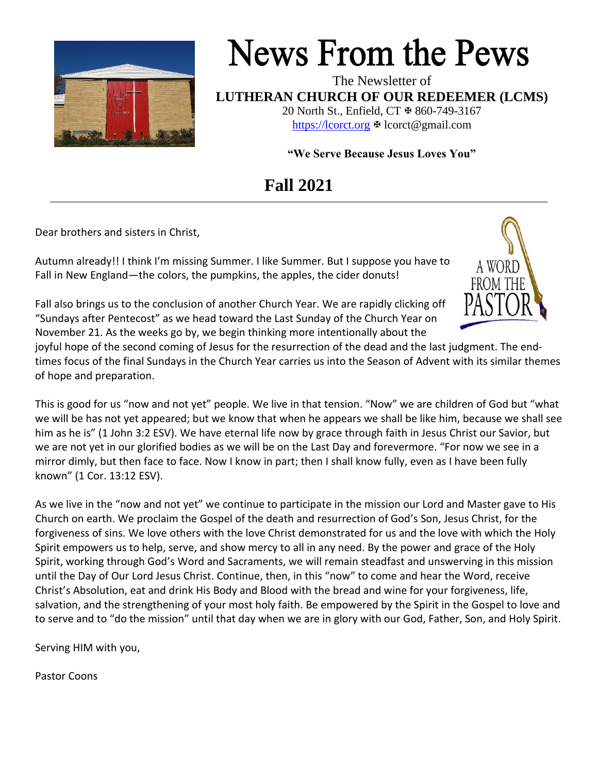

# **News From the Pews**

The Newsletter of **LUTHERAN CHURCH OF OUR REDEEMER (LCMS)** 20 North St., Enfield, CT & 860-749-3167

[https://lcorct.org](https://lcorct.org/)  $\Phi$  lcorct@gmail.com

**"We Serve Because Jesus Loves You"**

# **Fall 2021**

Dear brothers and sisters in Christ,

Autumn already!! I think I'm missing Summer. I like Summer. But I suppose you have to Fall in New England—the colors, the pumpkins, the apples, the cider donuts!



Fall also brings us to the conclusion of another Church Year. We are rapidly clicking off "Sundays after Pentecost" as we head toward the Last Sunday of the Church Year on November 21. As the weeks go by, we begin thinking more intentionally about the

joyful hope of the second coming of Jesus for the resurrection of the dead and the last judgment. The endtimes focus of the final Sundays in the Church Year carries us into the Season of Advent with its similar themes of hope and preparation.

This is good for us "now and not yet" people. We live in that tension. "Now" we are children of God but "what we will be has not yet appeared; but we know that when he appears we shall be like him, because we shall see him as he is" (1 John 3:2 ESV). We have eternal life now by grace through faith in Jesus Christ our Savior, but we are not yet in our glorified bodies as we will be on the Last Day and forevermore. "For now we see in a mirror dimly, but then face to face. Now I know in part; then I shall know fully, even as I have been fully known" (1 Cor. 13:12 ESV).

As we live in the "now and not yet" we continue to participate in the mission our Lord and Master gave to His Church on earth. We proclaim the Gospel of the death and resurrection of God's Son, Jesus Christ, for the forgiveness of sins. We love others with the love Christ demonstrated for us and the love with which the Holy Spirit empowers us to help, serve, and show mercy to all in any need. By the power and grace of the Holy Spirit, working through God's Word and Sacraments, we will remain steadfast and unswerving in this mission until the Day of Our Lord Jesus Christ. Continue, then, in this "now" to come and hear the Word, receive Christ's Absolution, eat and drink His Body and Blood with the bread and wine for your forgiveness, life, salvation, and the strengthening of your most holy faith. Be empowered by the Spirit in the Gospel to love and to serve and to "do the mission" until that day when we are in glory with our God, Father, Son, and Holy Spirit.

Serving HIM with you,

Pastor Coons